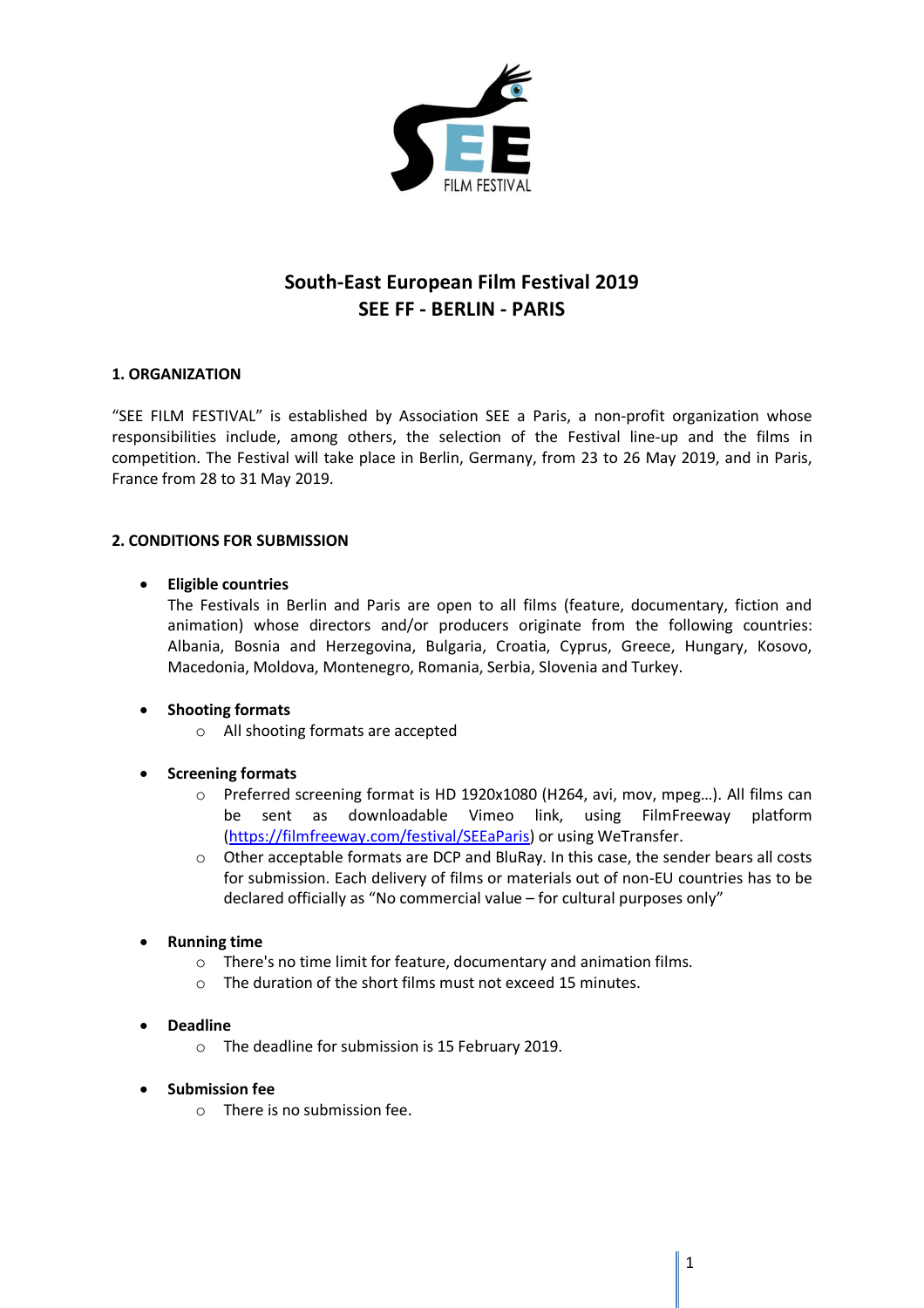

# **South-East European Film Festival 2019 SEE FF - BERLIN - PARIS**

# **1. ORGANIZATION**

"SEE FILM FESTIVAL" is established by Association SEE a Paris, a non-profit organization whose responsibilities include, among others, the selection of the Festival line-up and the films in competition. The Festival will take place in Berlin, Germany, from 23 to 26 May 2019, and in Paris, France from 28 to 31 May 2019.

## **2. CONDITIONS FOR SUBMISSION**

## **Eligible countries**

The Festivals in Berlin and Paris are open to all films (feature, documentary, fiction and animation) whose directors and/or producers originate from the following countries: Albania, Bosnia and Herzegovina, Bulgaria, Croatia, Cyprus, Greece, Hungary, Kosovo, Macedonia, Moldova, Montenegro, Romania, Serbia, Slovenia and Turkey.

# **Shooting formats**

o All shooting formats are accepted

# **Screening formats**

- o Preferred screening format is HD 1920x1080 (H264, avi, mov, mpeg…). All films can be sent as downloadable Vimeo link, using FilmFreeway platform (https://filmfreeway.com/festival/SEEaParis) or using WeTransfer.
- o Other acceptable formats are DCP and BluRay. In this case, the sender bears all costs for submission. Each delivery of films or materials out of non-EU countries has to be declared officially as "No commercial value – for cultural purposes only"

# **Running time**

- o There's no time limit for feature, documentary and animation films.
- o The duration of the short films must not exceed 15 minutes.
- **Deadline**
	- o The deadline for submission is 15 February 2019.
- **•** Submission fee
	- o There is no submission fee.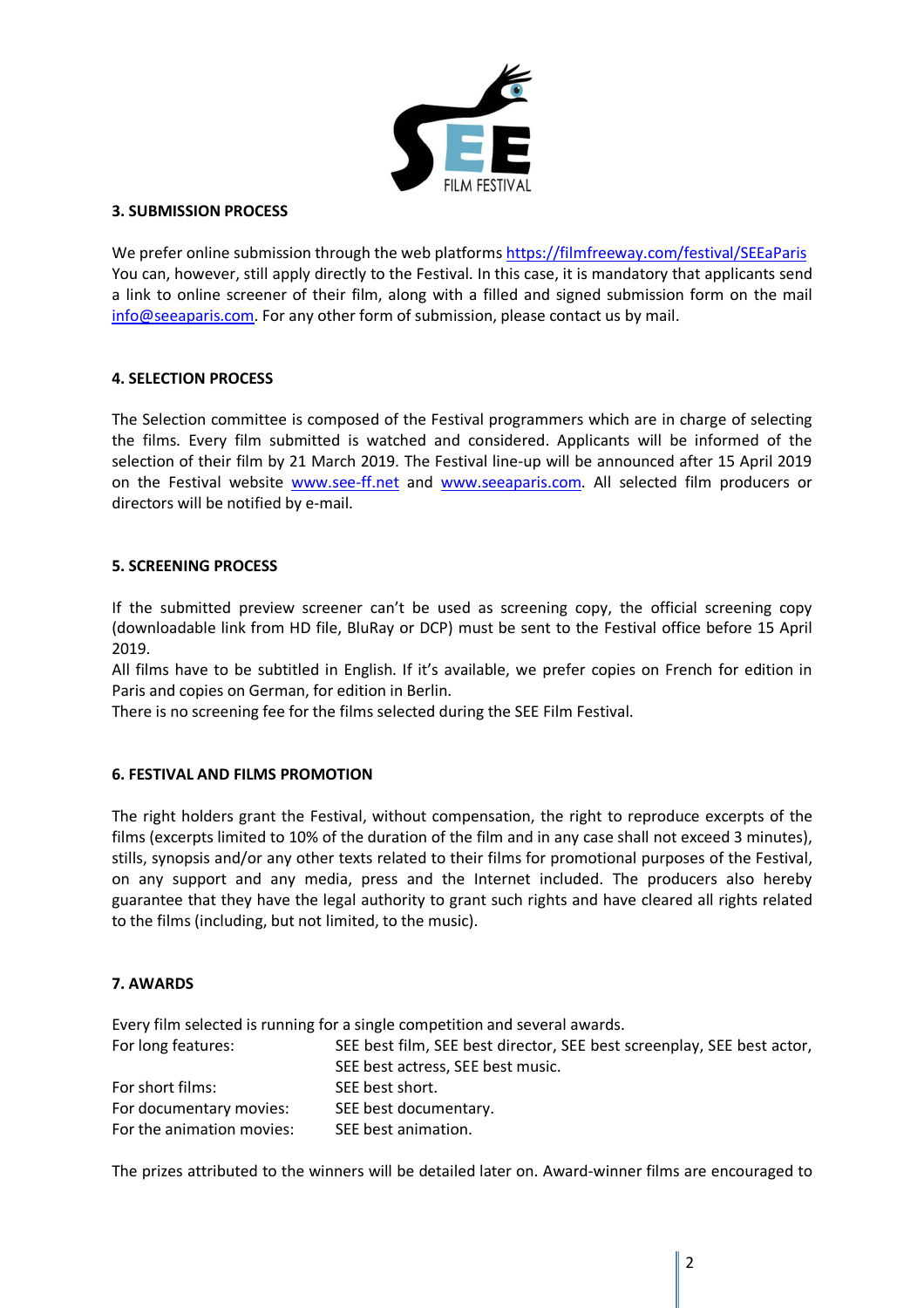

### **3. SUBMISSION PROCESS**

We prefer online submission through the web platforms https://filmfreeway.com/festival/SEEaParis You can, however, still apply directly to the Festival. In this case, it is mandatory that applicants send a link to online screener of their film, along with a filled and signed submission form on the mail info@seeaparis.com. For any other form of submission, please contact us by mail.

# **4. SELECTION PROCESS**

The Selection committee is composed of the Festival programmers which are in charge of selecting the films. Every film submitted is watched and considered. Applicants will be informed of the selection of their film by 21 March 2019. The Festival line-up will be announced after 15 April 2019 on the Festival website www.see-ff.net and www.seeaparis.com. All selected film producers or directors will be notified by e-mail.

## **5. SCREENING PROCESS**

If the submitted preview screener can't be used as screening copy, the official screening copy (downloadable link from HD file, BluRay or DCP) must be sent to the Festival office before 15 April 2019.

All films have to be subtitled in English. If it's available, we prefer copies on French for edition in Paris and copies on German, for edition in Berlin.

There is no screening fee for the films selected during the SEE Film Festival.

#### **6. FESTIVAL AND FILMS PROMOTION**

The right holders grant the Festival, without compensation, the right to reproduce excerpts of the films (excerpts limited to 10% of the duration of the film and in any case shall not exceed 3 minutes), stills, synopsis and/or any other texts related to their films for promotional purposes of the Festival, on any support and any media, press and the Internet included. The producers also hereby guarantee that they have the legal authority to grant such rights and have cleared all rights related to the films (including, but not limited, to the music).

### **7. AWARDS**

Every film selected is running for a single competition and several awards. For long features: SEE best film, SEE best director, SEE best screenplay, SEE best actor, SEE best actress, SEE best music. For short films: SEE best short. For documentary movies: SEE best documentary. For the animation movies: SEE best animation.

The prizes attributed to the winners will be detailed later on. Award-winner films are encouraged to